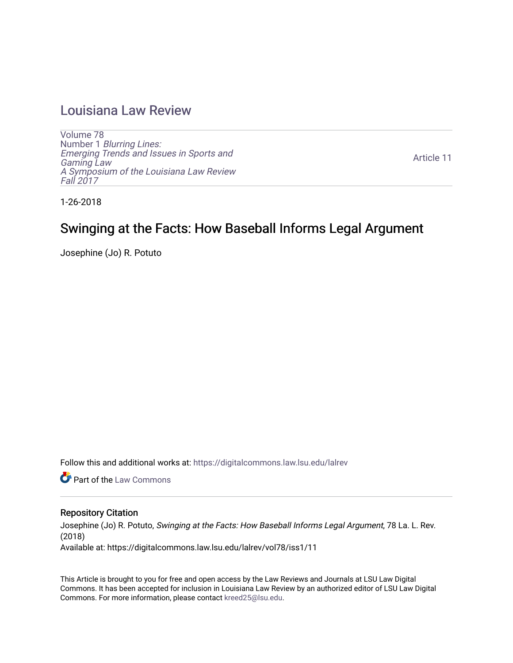# [Louisiana Law Review](https://digitalcommons.law.lsu.edu/lalrev)

[Volume 78](https://digitalcommons.law.lsu.edu/lalrev/vol78) Number 1 [Blurring Lines:](https://digitalcommons.law.lsu.edu/lalrev/vol78/iss1) [Emerging Trends and Issues in Sports and](https://digitalcommons.law.lsu.edu/lalrev/vol78/iss1)  [Gaming Law](https://digitalcommons.law.lsu.edu/lalrev/vol78/iss1)  [A Symposium of the Louisiana Law Review](https://digitalcommons.law.lsu.edu/lalrev/vol78/iss1) [Fall 2017](https://digitalcommons.law.lsu.edu/lalrev/vol78/iss1) 

[Article 11](https://digitalcommons.law.lsu.edu/lalrev/vol78/iss1/11) 

1-26-2018

# Swinging at the Facts: How Baseball Informs Legal Argument

Josephine (Jo) R. Potuto

Follow this and additional works at: [https://digitalcommons.law.lsu.edu/lalrev](https://digitalcommons.law.lsu.edu/lalrev?utm_source=digitalcommons.law.lsu.edu%2Flalrev%2Fvol78%2Fiss1%2F11&utm_medium=PDF&utm_campaign=PDFCoverPages)

**C** Part of the [Law Commons](http://network.bepress.com/hgg/discipline/578?utm_source=digitalcommons.law.lsu.edu%2Flalrev%2Fvol78%2Fiss1%2F11&utm_medium=PDF&utm_campaign=PDFCoverPages)

# Repository Citation

Josephine (Jo) R. Potuto, Swinging at the Facts: How Baseball Informs Legal Argument, 78 La. L. Rev. (2018) Available at: https://digitalcommons.law.lsu.edu/lalrev/vol78/iss1/11

This Article is brought to you for free and open access by the Law Reviews and Journals at LSU Law Digital Commons. It has been accepted for inclusion in Louisiana Law Review by an authorized editor of LSU Law Digital Commons. For more information, please contact [kreed25@lsu.edu](mailto:kreed25@lsu.edu).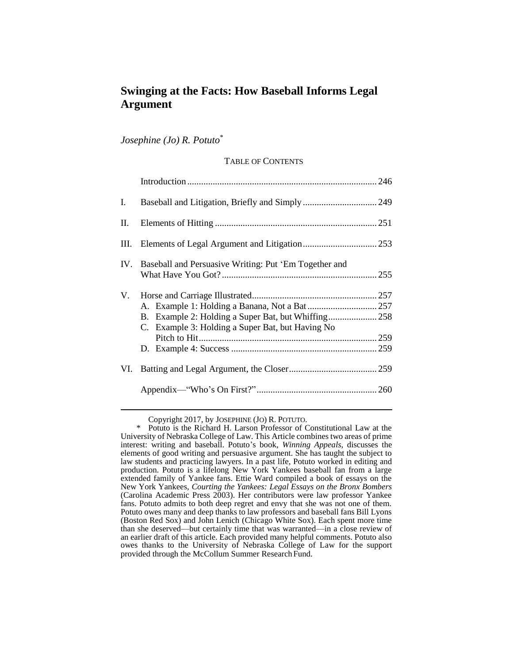# **Swinging at the Facts: How Baseball Informs Legal Argument**

*Josephine (Jo) R. Potuto*\*

 $\overline{a}$ 

# TABLE OF CONTENTS

| I. |                                                           |  |
|----|-----------------------------------------------------------|--|
|    |                                                           |  |
|    |                                                           |  |
|    | IV. Baseball and Persuasive Writing: Put 'Em Together and |  |
|    |                                                           |  |
|    |                                                           |  |
|    |                                                           |  |
|    | C. Example 3: Holding a Super Bat, but Having No          |  |
|    |                                                           |  |
|    |                                                           |  |
|    |                                                           |  |
|    |                                                           |  |

Copyright 2017, by JOSEPHINE (JO) R. POTUTO.

<sup>\*</sup> Potuto is the Richard H. Larson Professor of Constitutional Law at the University of Nebraska College of Law. This Article combines two areas of prime interest: writing and baseball. Potuto's book, *Winning Appeals*, discusses the elements of good writing and persuasive argument. She has taught the subject to law students and practicing lawyers. In a past life, Potuto worked in editing and production. Potuto is a lifelong New York Yankees baseball fan from a large extended family of Yankee fans. Ettie Ward compiled a book of essays on the New York Yankees, *Courting the Yankees: Legal Essays on the Bronx Bombers* (Carolina Academic Press 2003). Her contributors were law professor Yankee fans. Potuto admits to both deep regret and envy that she was not one of them. Potuto owes many and deep thanks to law professors and baseball fans Bill Lyons (Boston Red Sox) and John Lenich (Chicago White Sox). Each spent more time than she deserved—but certainly time that was warranted—in a close review of an earlier draft of this article. Each provided many helpful comments. Potuto also owes thanks to the University of Nebraska College of Law for the support provided through the McCollum Summer Research Fund.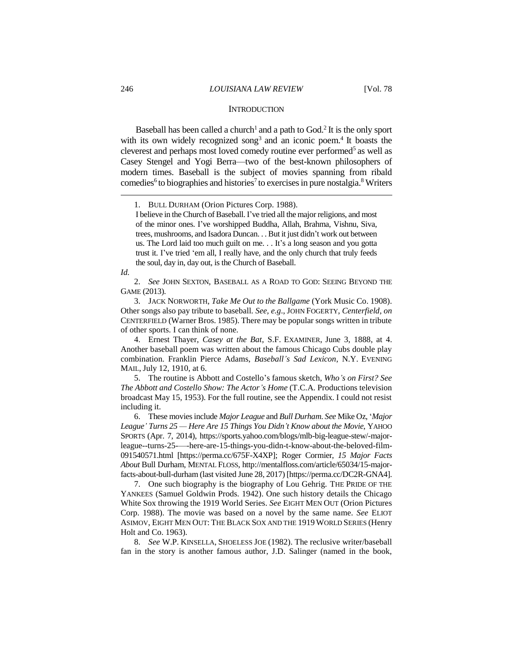#### **INTRODUCTION**

Baseball has been called a church<sup>1</sup> and a path to God.<sup>2</sup> It is the only sport with its own widely recognized song<sup>3</sup> and an iconic poem.<sup>4</sup> It boasts the cleverest and perhaps most loved comedy routine ever performed<sup>5</sup> as well as Casey Stengel and Yogi Berra—two of the best-known philosophers of modern times. Baseball is the subject of movies spanning from ribald comedies<sup>6</sup> to biographies and histories<sup>7</sup> to exercises in pure nostalgia.<sup>8</sup> Writers

*Id.*

 $\overline{a}$ 

2. *See* JOHN SEXTON, BASEBALL AS A ROAD TO GOD: SEEING BEYOND THE GAME (2013).

3. JACK NORWORTH, *Take Me Out to the Ballgame* (York Music Co. 1908). Other songs also pay tribute to baseball. *See, e.g*., JOHN FOGERTY, *Centerfield, on* CENTERFIELD (Warner Bros. 1985). There may be popular songs written in tribute of other sports. I can think of none.

4. Ernest Thayer, *Casey at the Bat*, S.F. EXAMINER, June 3, 1888, at 4. Another baseball poem was written about the famous Chicago Cubs double play combination. Franklin Pierce Adams, *Baseball's Sad Lexicon*, N.Y. EVENING MAIL, July 12, 1910, at 6.

5. The routine is Abbott and Costello's famous sketch, *Who's on First? See The Abbott and Costello Show: The Actor's Home* (T.C.A. Productions television broadcast May 15, 1953). For the full routine, see the Appendix. I could not resist including it.

6. These movies include *Major League* and *Bull Durham*. *See* Mike Oz, '*Major League' Turns 25 — Here Are 15 Things You Didn't Know about the Movie*, YAHOO SPORTS (Apr. 7, 2014), https://sports.yahoo.com/blogs/mlb-big-league-stew/-majorleague--turns-25-—-here-are-15-things-you-didn-t-know-about-the-beloved-film-091540571.html [https://perma.cc/675F-X4XP]; Roger Cormier, *15 Major Facts About* Bull Durham, MENTAL FLOSS, http://mentalfloss.com/article/65034/15-majorfacts-about-bull-durham (last visited June 28, 2017) [https://perma.cc/DC2R-GNA4].

7. One such biography is the biography of Lou Gehrig. THE PRIDE OF THE YANKEES (Samuel Goldwin Prods. 1942). One such history details the Chicago White Sox throwing the 1919 World Series. *See* EIGHT MEN OUT (Orion Pictures Corp. 1988). The movie was based on a novel by the same name. *See* ELIOT ASIMOV, EIGHT MEN OUT: THE BLACK SOX AND THE 1919 WORLD SERIES (Henry Holt and Co. 1963).

8. *See* W.P. KINSELLA, SHOELESS JOE (1982). The reclusive writer/baseball fan in the story is another famous author, J.D. Salinger (named in the book,

<sup>1.</sup> BULL DURHAM (Orion Pictures Corp. 1988).

I believe in the Church of Baseball. I've tried all the major religions, and most of the minor ones. I've worshipped Buddha, Allah, Brahma, Vishnu, Siva, trees, mushrooms, and Isadora Duncan. . . But it just didn't work out between us. The Lord laid too much guilt on me. . . It's a long season and you gotta trust it. I've tried 'em all, I really have, and the only church that truly feeds the soul, day in, day out, is the Church of Baseball.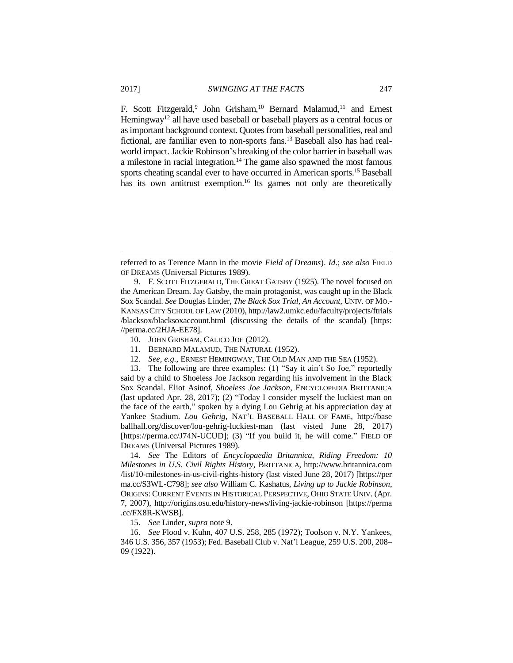F. Scott Fitzgerald,<sup>9</sup> John Grisham,<sup>10</sup> Bernard Malamud,<sup>11</sup> and Ernest Hemingway<sup>12</sup> all have used baseball or baseball players as a central focus or as important background context. Quotes from baseball personalities, real and fictional, are familiar even to non-sports fans.<sup>13</sup> Baseball also has had realworld impact. Jackie Robinson's breaking of the color barrier in baseball was a milestone in racial integration.<sup>14</sup> The game also spawned the most famous sports cheating scandal ever to have occurred in American sports.<sup>15</sup> Baseball has its own antitrust exemption.<sup>16</sup> Its games not only are theoretically

- 10. JOHN GRISHAM, CALICO JOE (2012).
- 11. BERNARD MALAMUD, THE NATURAL (1952).
- 12. *See, e.g.*, ERNEST HEMINGWAY, THE OLD MAN AND THE SEA (1952).

13. The following are three examples: (1) "Say it ain't So Joe," reportedly said by a child to Shoeless Joe Jackson regarding his involvement in the Black Sox Scandal. Eliot Asinof, *Shoeless Joe Jackson*, ENCYCLOPEDIA BRITTANICA (last updated Apr. 28, 2017); (2) "Today I consider myself the luckiest man on the face of the earth," spoken by a dying Lou Gehrig at his appreciation day at Yankee Stadium. *Lou Gehrig,* NAT'L BASEBALL HALL OF FAME, http://base ballhall.org/discover/lou-gehrig-luckiest-man (last visted June 28, 2017) [https://perma.cc/J74N-UCUD]; (3) "If you build it, he will come." FIELD OF DREAMS (Universal Pictures 1989).

14. *See* The Editors of *Encyclopaedia Britannica, Riding Freedom: 10 Milestones in U.S. Civil Rights History*, BRITTANICA, [http://www.britannica.com](http://www.britannica.com/list/10-milestones-in-us-civil-rights-history) [/list/10-milestones-in-us-civil-rights-history \(last visted June 28, 2017\) \[https://per](http://www.britannica.com/list/10-milestones-in-us-civil-rights-history) [ma.cc/S3WL-C798\];](http://www.britannica.com/list/10-milestones-in-us-civil-rights-history) *see also* William C. Kashatus, *Living up to Jackie Robinson*, ORIGINS: CURRENT EVENTS IN HISTORICAL P[ERSPECTIVE](http://origins.osu.edu/), OHIO STATE UNIV. (Apr. 7, 2007), http://origins.osu.edu/history-news/living-jackie-robinson [https://perma .cc/FX8R-KWSB].

15. *See* Linder, *supra* note 9.

16. *See* Flood v. Kuhn, 407 U.S. 258, 285 (1972); Toolson v. N.Y. Yankees, 346 U.S. 356, 357 (1953); Fed. Baseball Club v. Nat'l League, 259 U.S. 200, 208– 09 (1922).

referred to as Terence Mann in the movie *Field of Dreams*). *Id*.; *see also* FIELD OF DREAMS (Universal Pictures 1989).

<sup>9.</sup> F. SCOTT FITZGERALD, THE GREAT GATSBY (1925). The novel focused on the American Dream. Jay Gatsby, the main protagonist, was caught up in the Black Sox Scandal. *See* Douglas Linder, *The Black Sox Trial, An Account*, UNIV. OF MO.- KANSAS CITY SCHOOL OF LAW (2010), http://law2.umkc.edu/faculty/projects/ftrials /blacksox/blacksoxaccount.html (discussing the details of the scandal) [https: //perma.cc/2HJA-EE78].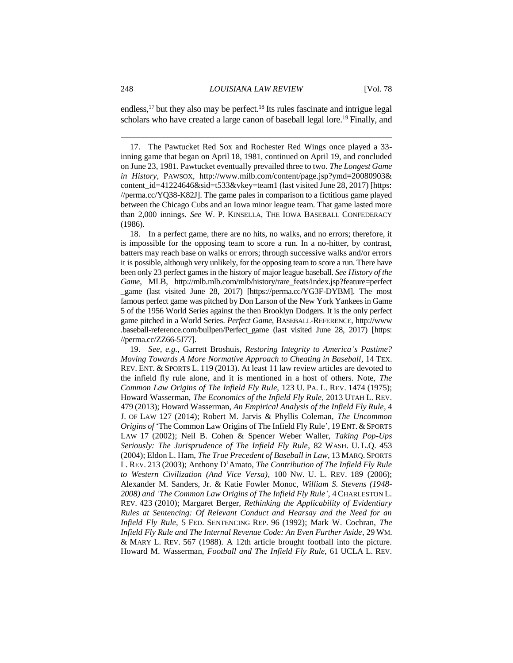endless,<sup>17</sup> but they also may be perfect.<sup>18</sup> Its rules fascinate and intrigue legal scholars who have created a large canon of baseball legal lore.<sup>19</sup> Finally, and

18. In a perfect game, there are no hits, no walks, and no errors; therefore, it is impossible for the opposing team to score a run. In a no-hitter, by contrast, batters may reach base on walks or errors; through successive walks and/or errors it is possible, although very unlikely, for the opposing team to score a run. There have been only 23 perfect games in the history of major league baseball. *See History of the Game*, MLB, http://mlb.mlb.com/mlb/history/rare\_feats/index.jsp?feature=perfect \_game (last visited June 28, 2017) [https://perma.cc/YG3F-DYBM]. The most famous perfect game was pitched by Don Larson of the New York Yankees in Game 5 of the 1956 World Series against the then Brooklyn Dodgers. It is the only perfect game pitched in a World Series. *Perfect Game*, BASEBALL-REFERENCE, http://www .baseball-reference.com/bullpen/Perfect\_game (last visited June 28, 2017) [https: //perma.cc/ZZ66-5J77].

19. *See, e.g.*, Garrett Broshuis, *Restoring Integrity to America's Pastime? Moving Towards A More Normative Approach to Cheating in Baseball*, 14 TEX. REV. ENT. & SPORTS L. 119 (2013). At least 11 law review articles are devoted to the infield fly rule alone, and it is mentioned in a host of others. Note, *The Common Law Origins of The Infield Fly Rule*, 123 U. PA. L. REV. 1474 (1975); Howard Wasserman, *The Economics of the Infield Fly Rule*, 2013 UTAH L. REV. 479 (2013); Howard Wasserman, *An Empirical Analysis of the Infield Fly Rule*, 4 J. OF LAW 127 (2014); Robert M. Jarvis & Phyllis Coleman, *The Uncommon Origins of* 'The Common Law Origins of The Infield Fly Rule', 19 ENT. & SPORTS LAW 17 (2002); Neil B. Cohen & Spencer Weber Waller, *Taking Pop-Ups Seriously: The Jurisprudence of The Infield Fly Rule*, 82 WASH. U. L.Q. 453 (2004); Eldon L. Ham, *The True Precedent of Baseball in Law*, 13 MARQ. SPORTS L. REV. 213 (2003); Anthony D'Amato, *The Contribution of The Infield Fly Rule to Western Civilization (And Vice Versa)*, 100 NW. U. L. REV. 189 (2006); Alexander M. Sanders, Jr. & Katie Fowler Monoc, *William S. Stevens (1948- 2008) and 'The Common Law Origins of The Infield Fly Rule'*, 4 CHARLESTON L. REV. 423 (2010); Margaret Berger, *Rethinking the Applicability of Evidentiary Rules at Sentencing: Of Relevant Conduct and Hearsay and the Need for an Infield Fly Rule*, 5 FED. SENTENCING REP. 96 (1992); Mark W. Cochran, *The Infield Fly Rule and The Internal Revenue Code: An Even Further Aside*, 29 WM. & MARY L. REV. 567 (1988). A 12th article brought football into the picture. Howard M. Wasserman, *Football and The Infield Fly Rule*, 61 UCLA L. REV.

<sup>17.</sup> The Pawtucket Red Sox and Rochester Red Wings once played a 33 inning game that began on April 18, 1981, continued on April 19, and concluded on June 23, 1981. Pawtucket eventually prevailed three to two. *The Longest Game in History*, PAWSOX, http://www.milb.com/content/page.jsp?ymd=20080903& content  $id=41224646\&$ sid=t533&vkey=team1 (last visited June 28, 2017) [https: //perma.cc/YQ38-K82J]. The game pales in comparison to a fictitious game played between the Chicago Cubs and an Iowa minor league team. That game lasted more than 2,000 innings. *See* W. P. KINSELLA, THE IOWA BASEBALL CONFEDERACY (1986).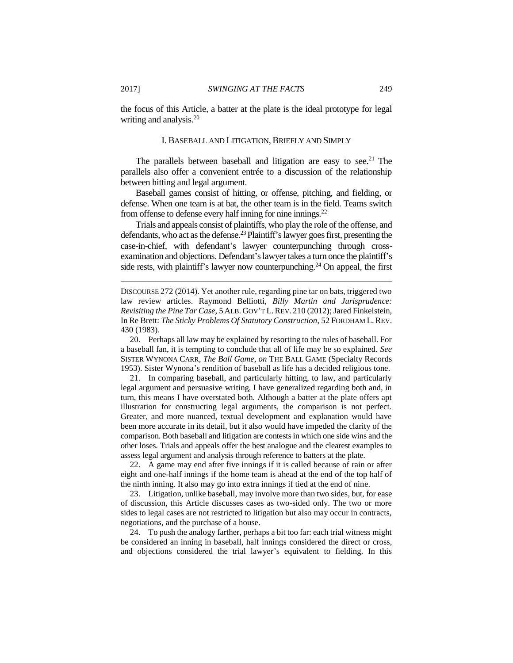the focus of this Article, a batter at the plate is the ideal prototype for legal writing and analysis.<sup>20</sup>

### I. BASEBALL AND LITIGATION, BRIEFLY AND SIMPLY

The parallels between baseball and litigation are easy to see.<sup>21</sup> The parallels also offer a convenient entrée to a discussion of the relationship between hitting and legal argument.

Baseball games consist of hitting, or offense, pitching, and fielding, or defense. When one team is at bat, the other team is in the field. Teams switch from offense to defense every half inning for nine innings.<sup>22</sup>

Trials and appeals consist of plaintiffs, who play the role of the offense, and defendants, who act as the defense.<sup>23</sup> Plaintiff's lawyer goes first, presenting the case-in-chief, with defendant's lawyer counterpunching through crossexamination and objections. Defendant's lawyer takes a turn once the plaintiff's side rests, with plaintiff's lawyer now counterpunching.<sup>24</sup> On appeal, the first

21. In comparing baseball, and particularly hitting, to law, and particularly legal argument and persuasive writing, I have generalized regarding both and, in turn, this means I have overstated both. Although a batter at the plate offers apt illustration for constructing legal arguments, the comparison is not perfect. Greater, and more nuanced, textual development and explanation would have been more accurate in its detail, but it also would have impeded the clarity of the comparison. Both baseball and litigation are contests in which one side wins and the other loses. Trials and appeals offer the best analogue and the clearest examples to assess legal argument and analysis through reference to batters at the plate.

22. A game may end after five innings if it is called because of rain or after eight and one-half innings if the home team is ahead at the end of the top half of the ninth inning. It also may go into extra innings if tied at the end of nine.

23. Litigation, unlike baseball, may involve more than two sides, but, for ease of discussion, this Article discusses cases as two-sided only. The two or more sides to legal cases are not restricted to litigation but also may occur in contracts, negotiations, and the purchase of a house.

24. To push the analogy farther, perhaps a bit too far: each trial witness might be considered an inning in baseball, half innings considered the direct or cross, and objections considered the trial lawyer's equivalent to fielding. In this

DISCOURSE 272 (2014). Yet another rule, regarding pine tar on bats, triggered two law review articles. Raymond Belliotti, *Billy Martin and Jurisprudence: Revisiting the Pine Tar Case*, 5 ALB. GOV'T L.REV. 210 (2012); Jared Finkelstein, In Re Brett: *The Sticky Problems [Of Statutory Construction](https://a.next.westlaw.com/Document/I076a14f15caa11dbbe1cf2d29fe2afe6/View/FullText.html?navigationPath=Search%2Fv3%2Fsearch%2Fresults%2Fnavigation%2Fi0ad7051f00000147b383017c15a0cefc%3FNav%3DANALYTICAL%26fragmentIdentifier%3DI076a14f15caa11dbbe1cf2d29fe2afe6%26startIndex%3D1%26contextData%3D%2528sc.Search%2529%26transitionType%3DSearchItem&listSource=Search&listPageSource=b1df4da391768d96c62e1a5a91f13a4a&list=ANALYTICAL&rank=2&grading=na&sessionScopeId=6f4e802e3c9e4e18f5deaccbf096413b&originationContext=Search%20Result&transitionType=SearchItem&contextData=%28sc.Search%29)*, 52 FORDHAM L. REV. 430 (1983).

<sup>20.</sup> Perhaps all law may be explained by resorting to the rules of baseball. For a baseball fan, it is tempting to conclude that all of life may be so explained. *See* SISTER WYNONA CARR, *The Ball Game*, *on* THE BALL GAME (Specialty Records 1953). Sister Wynona's rendition of baseball as life has a decided religious tone.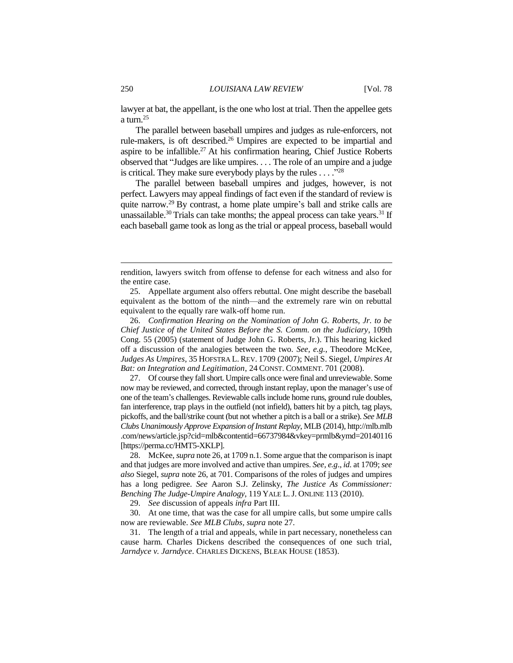lawyer at bat, the appellant, is the one who lost at trial. Then the appellee gets a turn.<sup>25</sup>

The parallel between baseball umpires and judges as rule-enforcers, not rule-makers, is oft described.<sup>26</sup> Umpires are expected to be impartial and aspire to be infallible.<sup>27</sup> At his confirmation hearing, Chief Justice Roberts observed that "Judges are like umpires. . . . The role of an umpire and a judge is critical. They make sure everybody plays by the rules  $\dots$ ."<sup>28</sup>

The parallel between baseball umpires and judges, however, is not perfect. Lawyers may appeal findings of fact even if the standard of review is quite narrow.<sup>29</sup> By contrast, a home plate umpire's ball and strike calls are unassailable.<sup>30</sup> Trials can take months; the appeal process can take years.<sup>31</sup> If each baseball game took as long as the trial or appeal process, baseball would

rendition, lawyers switch from offense to defense for each witness and also for the entire case.

27. Of course they fall short. Umpire calls once were final and unreviewable. Some now may be reviewed, and corrected, through instant replay, upon the manager's use of one of the team's challenges. Reviewable calls include home runs, ground rule doubles, fan interference, trap plays in the outfield (not infield), batters hit by a pitch, tag plays, pickoffs, and the ball/strike count (but not whether a pitch is a ball or a strike). *See MLB Clubs Unanimously Approve Expansion of Instant Replay*, MLB (2014), http://mlb.mlb .com/news/article.jsp?cid=mlb&contentid=66737984&vkey=prmlb&ymd=20140116 [https://perma.cc/HMT5-XKLP].

28. McKee, *supra* note 26, at 1709 n.1. Some argue that the comparison is inapt and that judges are more involved and active than umpires. *See, e.g*., *id.* at 1709; *see also* Siegel, *supra* note 26, at 701. Comparisons of the roles of judges and umpires has a long pedigree. *See* Aaron S.J. Zelinsky, *The Justice As Commissioner: Benching The Judge-Umpire Analogy*, 119 YALE L.J. ONLINE 113 (2010).

29. *See* discussion of appeals *infra* Part III.

30. At one time, that was the case for all umpire calls, but some umpire calls now are reviewable. *See MLB Clubs, supra* note 27.

31. The length of a trial and appeals, while in part necessary, nonetheless can cause harm. Charles Dickens described the consequences of one such trial, *Jarndyce v. Jarndyce*. CHARLES DICKENS, BLEAK HOUSE (1853).

<sup>25.</sup> Appellate argument also offers rebuttal. One might describe the baseball equivalent as the bottom of the ninth—and the extremely rare win on rebuttal equivalent to the equally rare walk-off home run.

<sup>26.</sup> *Confirmation Hearing on the Nomination of John G. Roberts, Jr. to be Chief Justice of the United States Before the S. Comm. on the Judiciary*, 109th Cong. 55 (2005) (statement of Judge John G. Roberts, Jr.). This hearing kicked off a discussion of the analogies between the two. *See, e.g.*, Theodore McKee, *Judges As Umpires*, 35 HOFSTRA L. REV. 1709 (2007); Neil S. Siegel, *Umpires At Bat: on Integration and Legitimation*, 24 CONST. COMMENT. 701 (2008).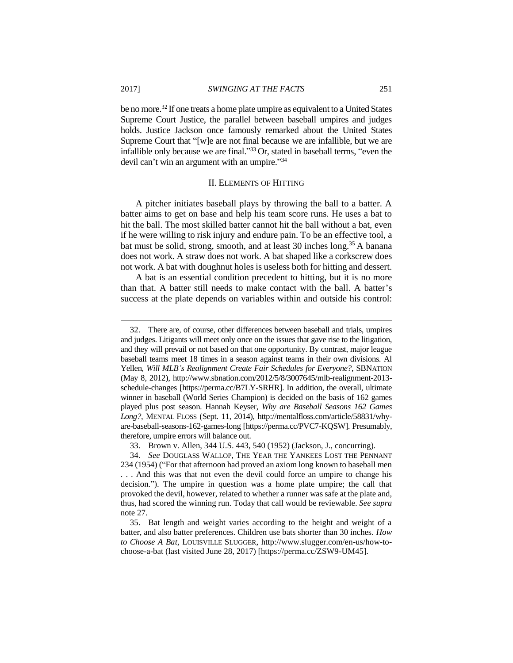be no more.<sup>32</sup> If one treats a home plate umpire as equivalent to a United States Supreme Court Justice, the parallel between baseball umpires and judges holds. Justice Jackson once famously remarked about the United States Supreme Court that "[w]e are not final because we are infallible, but we are infallible only because we are final." <sup>33</sup> Or, stated in baseball terms, "even the devil can't win an argument with an umpire."34

#### II. ELEMENTS OF HITTING

A pitcher initiates baseball plays by throwing the ball to a batter. A batter aims to get on base and help his team score runs. He uses a bat to hit the ball. The most skilled batter cannot hit the ball without a bat, even if he were willing to risk injury and endure pain. To be an effective tool, a bat must be solid, strong, smooth, and at least 30 inches  $\log$ <sup>35</sup> A banana does not work. A straw does not work. A bat shaped like a corkscrew does not work. A bat with doughnut holes is useless both for hitting and dessert.

A bat is an essential condition precedent to hitting, but it is no more than that. A batter still needs to make contact with the ball. A batter's success at the plate depends on variables within and outside his control:

<sup>32.</sup> There are, of course, other differences between baseball and trials, umpires and judges. Litigants will meet only once on the issues that gave rise to the litigation, and they will prevail or not based on that one opportunity. By contrast, major league baseball teams meet 18 times in a season against teams in their own divisions. Al Yellen, *Will MLB's Realignment Create Fair Schedules for Everyone?*, SBNATION (May 8, 2012), http://www.sbnation.com/2012/5/8/3007645/mlb-realignment-2013 schedule-changes [https://perma.cc/B7LY-SRHR]. In addition, the overall, ultimate winner in baseball (World Series Champion) is decided on the basis of 162 games played plus post season. Hannah Keyser, *Why are Baseball Seasons 162 Games Long?*, MENTAL FLOSS (Sept. 11, 2014), http://mentalfloss.com/article/58831/whyare-baseball-seasons-162-games-long [https://perma.cc/PVC7-KQSW]. Presumably, therefore, umpire errors will balance out.

<sup>33.</sup> Brown v. Allen, 344 U.S. 443, 540 (1952) (Jackson, J., concurring).

<sup>34.</sup> *See* DOUGLASS WALLOP, THE YEAR THE YANKEES LOST THE PENNANT 234 (1954) ("For that afternoon had proved an axiom long known to baseball men . . . And this was that not even the devil could force an umpire to change his decision."). The umpire in question was a home plate umpire; the call that provoked the devil, however, related to whether a runner was safe at the plate and, thus, had scored the winning run. Today that call would be reviewable. *See supra* note 27.

<sup>35.</sup> Bat length and weight varies according to the height and weight of a batter, and also batter preferences. Children use bats shorter than 30 inches. *How to Choose A Bat*, LOUISVILLE SLUGGER, http://www.slugger.com/en-us/how-tochoose-a-bat (last visited June 28, 2017) [https://perma.cc/ZSW9-UM45].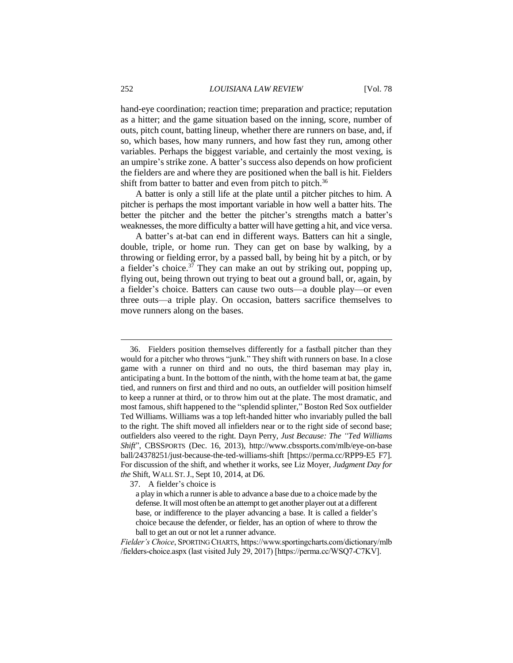hand-eye coordination; reaction time; preparation and practice; reputation as a hitter; and the game situation based on the inning, score, number of outs, pitch count, batting lineup, whether there are runners on base, and, if so, which bases, how many runners, and how fast they run, among other variables. Perhaps the biggest variable, and certainly the most vexing, is an umpire's strike zone. A batter's success also depends on how proficient the fielders are and where they are positioned when the ball is hit. Fielders shift from batter to batter and even from pitch to pitch. $36$ 

A batter is only a still life at the plate until a pitcher pitches to him. A pitcher is perhaps the most important variable in how well a batter hits. The better the pitcher and the better the pitcher's strengths match a batter's weaknesses, the more difficulty a batter will have getting a hit, and vice versa.

A batter's at-bat can end in different ways. Batters can hit a single, double, triple, or home run. They can get on base by walking, by a throwing or fielding error, by a passed ball, by being hit by a pitch, or by a fielder's choice.<sup>37</sup> They can make an out by striking out, popping up, flying out, being thrown out trying to beat out a ground ball, or, again, by a fielder's choice. Batters can cause two outs—a double play—or even three outs—a triple play. On occasion, batters sacrifice themselves to move runners along on the bases.

37. A fielder's choice is

<sup>36.</sup> Fielders position themselves differently for a fastball pitcher than they would for a pitcher who throws "junk." They shift with runners on base. In a close game with a runner on third and no outs, the third baseman may play in, anticipating a bunt. In the bottom of the ninth, with the home team at bat, the game tied, and runners on first and third and no outs, an outfielder will position himself to keep a runner at third, or to throw him out at the plate. The most dramatic, and most famous, shift happened to the "splendid splinter," Boston Red Sox outfielder Ted Williams. Williams was a top left-handed hitter who invariably pulled the ball to the right. The shift moved all infielders near or to the right side of second base; outfielders also veered to the right. Dayn Perry, *Just Because: The "Ted Williams Shift*", CBSSPORTS [\(Dec. 16, 2013\), http://www.cbssports.com/mlb/eye-on-base](file:///C:/Users/User/Downloads/(Dec.%2016,%202013),%20http:/www.cbssports.com/mlb/eye-on-baseball/24378251/just-because-the-ted-williams-) [ball/24378251/just-because-the-ted-williams-](file:///C:/Users/User/Downloads/(Dec.%2016,%202013),%20http:/www.cbssports.com/mlb/eye-on-baseball/24378251/just-because-the-ted-williams-)[shift \[https://perma.cc/RPP9-E5](http://www.cbssports.com/mlb/eye-on-baseball/24378251/just-because-the-ted-williams-shift) F7]. For discussion of the shift, and whether it works, see Liz Moyer, *Judgment Day for the* Shift, WALL ST.J., Sept 10, 2014, at D6.

a play in which a runner is able to advance a base due to a choice made by the defense. It will most often be an attempt to get another player out at a different base, or indifference to the player advancing a base. It is called a fielder's choice because the defender, or fielder, has an option of where to throw the ball to get an out or not let a runner advance.

*Fielder's Choice*, SPORTING CHARTS[, https://www.sportingcharts.com/dictionary/mlb](https://www.sportingcharts.com/dictionary/mlb/fielders-choice.aspx) [/fielders-choice.aspx](https://www.sportingcharts.com/dictionary/mlb/fielders-choice.aspx) (last visited July 29, 2017) [https://perma.cc/WSQ7-C7KV].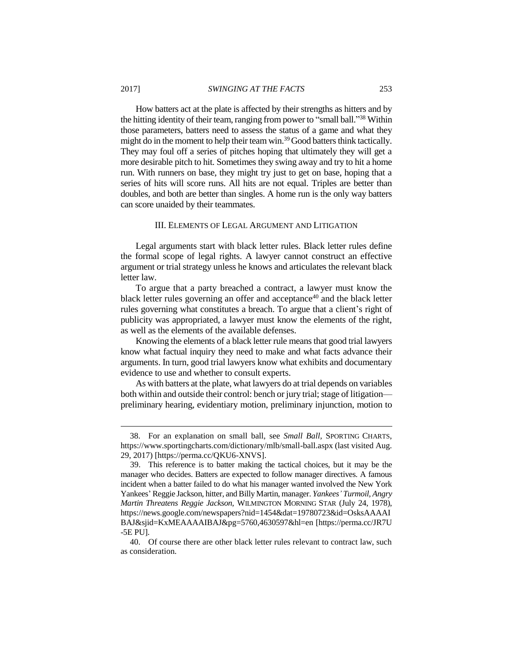How batters act at the plate is affected by their strengths as hitters and by the hitting identity of their team, ranging from power to "small ball."<sup>38</sup> Within those parameters, batters need to assess the status of a game and what they might do in the moment to help their team win. $39\text{ Good batteries}$  think tactically. They may foul off a series of pitches hoping that ultimately they will get a more desirable pitch to hit. Sometimes they swing away and try to hit a home run. With runners on base, they might try just to get on base, hoping that a series of hits will score runs. All hits are not equal. Triples are better than doubles, and both are better than singles. A home run is the only way batters can score unaided by their teammates.

#### III. ELEMENTS OF LEGAL ARGUMENT AND LITIGATION

Legal arguments start with black letter rules. Black letter rules define the formal scope of legal rights. A lawyer cannot construct an effective argument or trial strategy unless he knows and articulates the relevant black letter law.

To argue that a party breached a contract, a lawyer must know the black letter rules governing an offer and acceptance<sup>40</sup> and the black letter rules governing what constitutes a breach. To argue that a client's right of publicity was appropriated, a lawyer must know the elements of the right, as well as the elements of the available defenses.

Knowing the elements of a black letter rule means that good trial lawyers know what factual inquiry they need to make and what facts advance their arguments. In turn, good trial lawyers know what exhibits and documentary evidence to use and whether to consult experts.

As with batters at the plate, what lawyers do at trial depends on variables both within and outside their control: bench or jury trial; stage of litigation preliminary hearing, evidentiary motion, preliminary injunction, motion to

<sup>38.</sup> For an explanation on small ball, see *Small Ball,* SPORTING CHARTS, <https://www.sportingcharts.com/dictionary/mlb/small-ball.aspx> (last visited Aug. 29, 2017) [https://perma.cc/QKU6-XNVS].

<sup>39.</sup> This reference is to batter making the tactical choices, but it may be the manager who decides. Batters are expected to follow manager directives. A famous incident when a batter failed to do what his manager wanted involved the New York Yankees' Reggie Jackson, hitter, and Billy Martin, manager. *Yankees' Turmoil, Angry Martin Threatens Reggie Jackson,* WILMINGTON MORNING STAR (July 24, 1978), [https://news.google.com/newspapers?nid=1454&dat=19780723&id=OsksAAAAI](https://news.google.com/newspapers?nid=1454&dat=19780723&id=OsksAAAAIBAJ&sjid=KxMEAAAAIBAJ&pg=5760,4630597&hl=en) [BAJ&sjid=KxMEAAAAIBAJ&pg=5760,4630597&hl=en](https://news.google.com/newspapers?nid=1454&dat=19780723&id=OsksAAAAIBAJ&sjid=KxMEAAAAIBAJ&pg=5760,4630597&hl=en) [https://perma.cc/JR7U -5E PU].

<sup>40.</sup> Of course there are other black letter rules relevant to contract law, such as consideration.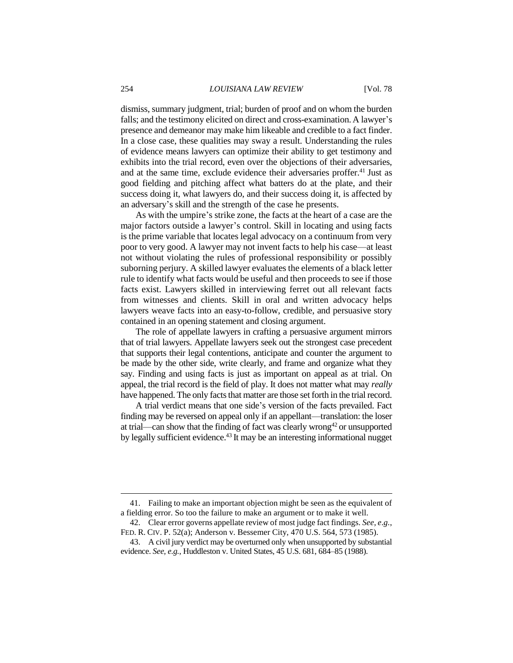dismiss, summary judgment, trial; burden of proof and on whom the burden falls; and the testimony elicited on direct and cross-examination. A lawyer's presence and demeanor may make him likeable and credible to a fact finder. In a close case, these qualities may sway a result. Understanding the rules of evidence means lawyers can optimize their ability to get testimony and exhibits into the trial record, even over the objections of their adversaries, and at the same time, exclude evidence their adversaries proffer.<sup>41</sup> Just as good fielding and pitching affect what batters do at the plate, and their success doing it, what lawyers do, and their success doing it, is affected by an adversary's skill and the strength of the case he presents.

As with the umpire's strike zone, the facts at the heart of a case are the major factors outside a lawyer's control. Skill in locating and using facts is the prime variable that locates legal advocacy on a continuum from very poor to very good. A lawyer may not invent facts to help his case—at least not without violating the rules of professional responsibility or possibly suborning perjury. A skilled lawyer evaluates the elements of a black letter rule to identify what facts would be useful and then proceeds to see if those facts exist. Lawyers skilled in interviewing ferret out all relevant facts from witnesses and clients. Skill in oral and written advocacy helps lawyers weave facts into an easy-to-follow, credible, and persuasive story contained in an opening statement and closing argument.

The role of appellate lawyers in crafting a persuasive argument mirrors that of trial lawyers. Appellate lawyers seek out the strongest case precedent that supports their legal contentions, anticipate and counter the argument to be made by the other side, write clearly, and frame and organize what they say. Finding and using facts is just as important on appeal as at trial. On appeal, the trial record is the field of play. It does not matter what may *really* have happened. The only facts that matter are those set forth in the trial record.

A trial verdict means that one side's version of the facts prevailed. Fact finding may be reversed on appeal only if an appellant—translation: the loser at trial—can show that the finding of fact was clearly wrong $42$  or unsupported by legally sufficient evidence.<sup>43</sup> It may be an interesting informational nugget

<sup>41.</sup> Failing to make an important objection might be seen as the equivalent of a fielding error. So too the failure to make an argument or to make it well.

<sup>42.</sup> Clear error governs appellate review of most judge fact findings. *See, e*.*g.*, FED. R. CIV. P. 52(a); Anderson v. Bessemer City, 470 U.S. 564, 573 (1985).

<sup>43.</sup> A civil jury verdict may be overturned only when unsupported by substantial evidence. *See, e.g.*, Huddleston v. United States, 45 U.S. 681, 684–85 (1988).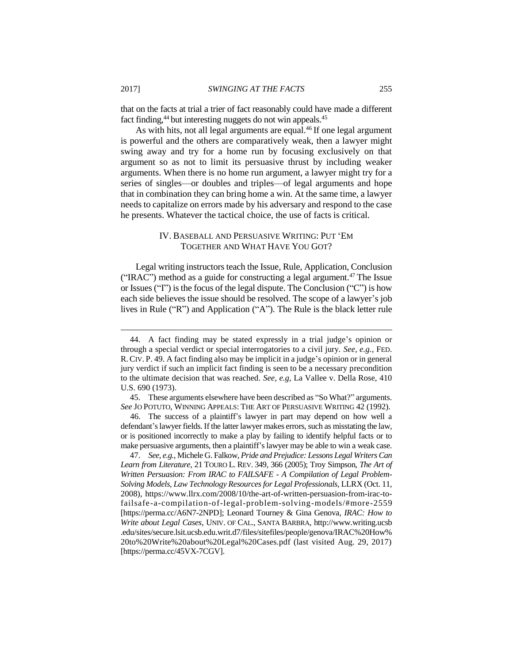that on the facts at trial a trier of fact reasonably could have made a different fact finding,<sup>44</sup> but interesting nuggets do not win appeals.<sup>45</sup>

As with hits, not all legal arguments are equal.<sup>46</sup> If one legal argument is powerful and the others are comparatively weak, then a lawyer might swing away and try for a home run by focusing exclusively on that argument so as not to limit its persuasive thrust by including weaker arguments. When there is no home run argument, a lawyer might try for a series of singles—or doubles and triples—of legal arguments and hope that in combination they can bring home a win. At the same time, a lawyer needs to capitalize on errors made by his adversary and respond to the case he presents. Whatever the tactical choice, the use of facts is critical.

# IV. BASEBALL AND PERSUASIVE WRITING: PUT 'EM TOGETHER AND WHAT HAVE YOU GOT?

Legal writing instructors teach the Issue, Rule, Application, Conclusion ("IRAC") method as a guide for constructing a legal argument.<sup>47</sup> The Issue or Issues ("I") is the focus of the legal dispute. The Conclusion ("C") is how each side believes the issue should be resolved. The scope of a lawyer's job lives in Rule ("R") and Application ("A"). The Rule is the black letter rule

<sup>44.</sup> A fact finding may be stated expressly in a trial judge's opinion or through a special verdict or special interrogatories to a civil jury. *See, e.g.*, FED. R. CIV. P. 49. A fact finding also may be implicit in a judge's opinion or in general jury verdict if such an implicit fact finding is seen to be a necessary precondition to the ultimate decision that was reached. *See, e.g*, La Vallee v. Della Rose, 410 U.S. 690 (1973).

<sup>45.</sup> These arguments elsewhere have been described as "So What?" arguments. *See* JO POTUTO, WINNING APPEALS: THE ART OF PERSUASIVE WRITING 42 (1992).

<sup>46.</sup> The success of a plaintiff's lawyer in part may depend on how well a defendant's lawyer fields. If the latter lawyer makes errors, such as misstating the law, or is positioned incorrectly to make a play by failing to identify helpful facts or to make persuasive arguments, then a plaintiff's lawyer may be able to win a weak case.

<sup>47.</sup> *See, e.g.*, Michele G. Falkow, *Pride and Prejudice: Lessons Legal Writers Can Learn from Literature*, 21 TOURO L. REV. 349, 366 (2005); Troy Simpson, *The Art of Written Persuasion: From IRAC to FAILSAFE - A Compilation of Legal Problem-Solving Models, Law Technology Resources for Legal Professionals*, LLRX (Oct. 11, 2008), https://www.llrx.com/2008/10/the-art-of-written-persuasion-from-irac-tofailsafe-a-compilation-of-legal-problem-solving-models/#more-2559 [https://perma.cc/A6N7-2NPD]; Leonard Tourney & Gina Genova, *IRAC: How to Write about Legal Cases*, UNIV. OF CAL., SANTA BARBRA, http://www.writing.ucsb .edu/sites/secure.lsit.ucsb.edu.writ.d7/files/sitefiles/people/genova/IRAC%20How% 20to%20Write%20about%20Legal%20Cases.pdf (last visited Aug. 29, 2017) [https://perma.cc/45VX-7CGV].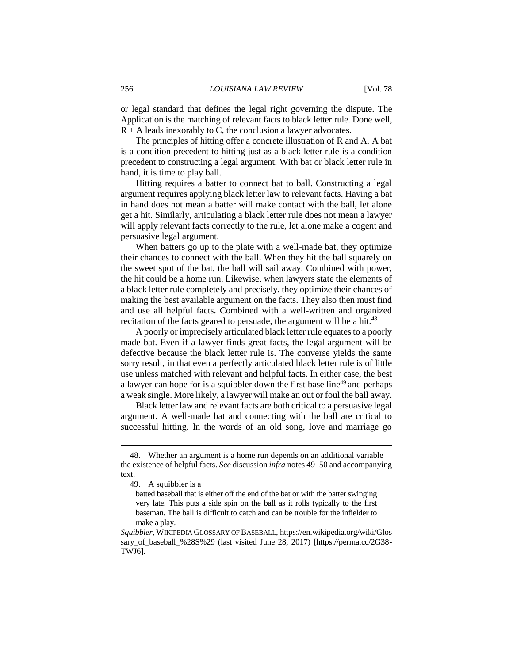or legal standard that defines the legal right governing the dispute. The Application is the matching of relevant facts to black letter rule. Done well,  $R + A$  leads inexorably to C, the conclusion a lawyer advocates.

The principles of hitting offer a concrete illustration of R and A. A bat is a condition precedent to hitting just as a black letter rule is a condition precedent to constructing a legal argument. With bat or black letter rule in hand, it is time to play ball.

Hitting requires a batter to connect bat to ball. Constructing a legal argument requires applying black letter law to relevant facts. Having a bat in hand does not mean a batter will make contact with the ball, let alone get a hit. Similarly, articulating a black letter rule does not mean a lawyer will apply relevant facts correctly to the rule, let alone make a cogent and persuasive legal argument.

When batters go up to the plate with a well-made bat, they optimize their chances to connect with the ball. When they hit the ball squarely on the sweet spot of the bat, the ball will sail away. Combined with power, the hit could be a home run. Likewise, when lawyers state the elements of a black letter rule completely and precisely, they optimize their chances of making the best available argument on the facts. They also then must find and use all helpful facts. Combined with a well-written and organized recitation of the facts geared to persuade, the argument will be a hit.<sup>48</sup>

A poorly or imprecisely articulated black letter rule equates to a poorly made bat. Even if a lawyer finds great facts, the legal argument will be defective because the black letter rule is. The converse yields the same sorry result, in that even a perfectly articulated black letter rule is of little use unless matched with relevant and helpful facts. In either case, the best a lawyer can hope for is a squibbler down the first base line<sup>49</sup> and perhaps a weak single. More likely, a lawyer will make an out or foul the ball away.

Black letter law and relevant facts are both critical to a persuasive legal argument. A well-made bat and connecting with the ball are critical to successful hitting. In the words of an old song, love and marriage go

<sup>48.</sup> Whether an argument is a home run depends on an additional variable the existence of helpful facts. *See* discussion *infra* notes 49–50 and accompanying text.

<sup>49.</sup> A squibbler is a

batted baseball that is either off the end of the bat or with the batter swinging very late. This puts a side spin on the ball as it rolls typically to the first baseman. The ball is difficult to catch and can be trouble for the infielder to make a play.

*Squibbler*, WIKIPEDIA GLOSSARY OF BASEBALL, https://en.wikipedia.org/wiki/Glos sary\_of\_baseball\_%28S%29 (last visited June 28, 2017) [https://perma.cc/2G38- TWJ6].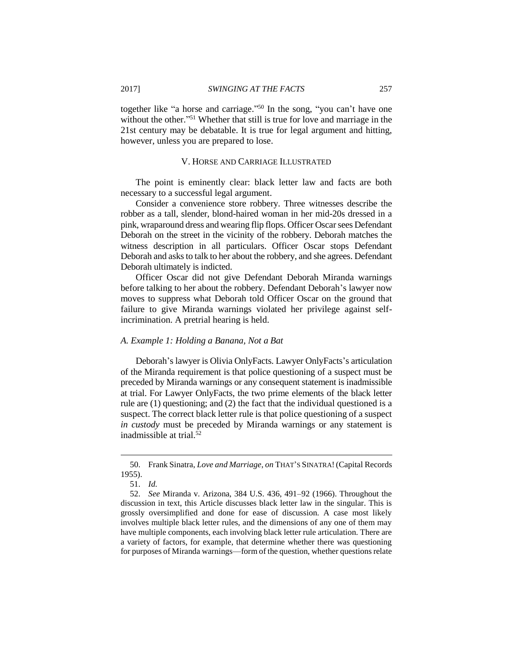together like "a horse and carriage." <sup>50</sup> In the song, "you can't have one without the other."<sup>51</sup> Whether that still is true for love and marriage in the 21st century may be debatable. It is true for legal argument and hitting, however, unless you are prepared to lose.

# V. HORSE AND CARRIAGE ILLUSTRATED

The point is eminently clear: black letter law and facts are both necessary to a successful legal argument.

Consider a convenience store robbery. Three witnesses describe the robber as a tall, slender, blond-haired woman in her mid-20s dressed in a pink, wraparound dress and wearing flip flops. Officer Oscar sees Defendant Deborah on the street in the vicinity of the robbery. Deborah matches the witness description in all particulars. Officer Oscar stops Defendant Deborah and asks to talk to her about the robbery, and she agrees. Defendant Deborah ultimately is indicted.

Officer Oscar did not give Defendant Deborah Miranda warnings before talking to her about the robbery. Defendant Deborah's lawyer now moves to suppress what Deborah told Officer Oscar on the ground that failure to give Miranda warnings violated her privilege against selfincrimination. A pretrial hearing is held.

# *A. Example 1: Holding a Banana, Not a Bat*

Deborah's lawyer is Olivia OnlyFacts. Lawyer OnlyFacts's articulation of the Miranda requirement is that police questioning of a suspect must be preceded by Miranda warnings or any consequent statement is inadmissible at trial. For Lawyer OnlyFacts, the two prime elements of the black letter rule are (1) questioning; and (2) the fact that the individual questioned is a suspect. The correct black letter rule is that police questioning of a suspect *in custody* must be preceded by Miranda warnings or any statement is inadmissible at trial.<sup>52</sup>

<sup>50.</sup> Frank Sinatra, *Love and Marriage*, *on* THAT'S SINATRA!(Capital Records 1955).

<sup>51.</sup> *Id.*

<sup>52.</sup> *See* Miranda v. Arizona, 384 U.S. 436, 491–92 (1966). Throughout the discussion in text, this Article discusses black letter law in the singular. This is grossly oversimplified and done for ease of discussion. A case most likely involves multiple black letter rules, and the dimensions of any one of them may have multiple components, each involving black letter rule articulation. There are a variety of factors, for example, that determine whether there was questioning for purposes of Miranda warnings—form of the question, whether questions relate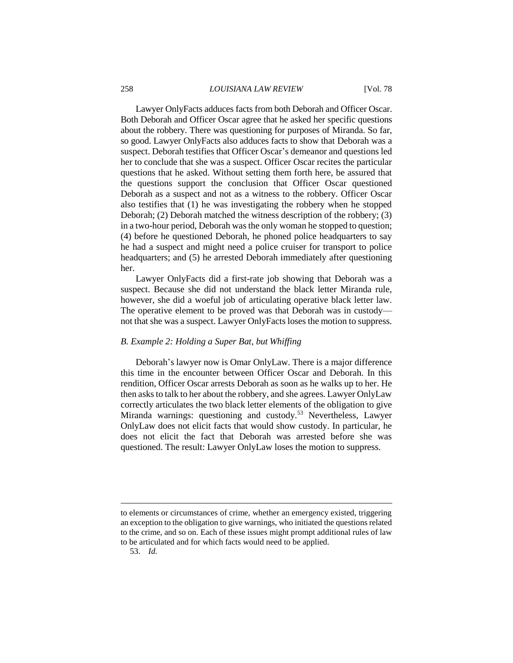# 258 *LOUISIANA LAW REVIEW* [Vol. 78

Lawyer OnlyFacts adduces facts from both Deborah and Officer Oscar. Both Deborah and Officer Oscar agree that he asked her specific questions about the robbery. There was questioning for purposes of Miranda. So far, so good. Lawyer OnlyFacts also adduces facts to show that Deborah was a suspect. Deborah testifies that Officer Oscar's demeanor and questions led her to conclude that she was a suspect. Officer Oscar recites the particular questions that he asked. Without setting them forth here, be assured that the questions support the conclusion that Officer Oscar questioned Deborah as a suspect and not as a witness to the robbery. Officer Oscar also testifies that (1) he was investigating the robbery when he stopped Deborah; (2) Deborah matched the witness description of the robbery; (3) in a two-hour period, Deborah was the only woman he stopped to question; (4) before he questioned Deborah, he phoned police headquarters to say he had a suspect and might need a police cruiser for transport to police headquarters; and (5) he arrested Deborah immediately after questioning her.

Lawyer OnlyFacts did a first-rate job showing that Deborah was a suspect. Because she did not understand the black letter Miranda rule, however, she did a woeful job of articulating operative black letter law. The operative element to be proved was that Deborah was in custody not that she was a suspect. Lawyer OnlyFacts loses the motion to suppress.

# *B. Example 2: Holding a Super Bat, but Whiffing*

Deborah's lawyer now is Omar OnlyLaw. There is a major difference this time in the encounter between Officer Oscar and Deborah. In this rendition, Officer Oscar arrests Deborah as soon as he walks up to her. He then asks to talk to her about the robbery, and she agrees. Lawyer OnlyLaw correctly articulates the two black letter elements of the obligation to give Miranda warnings: questioning and custody.<sup>53</sup> Nevertheless, Lawyer OnlyLaw does not elicit facts that would show custody. In particular, he does not elicit the fact that Deborah was arrested before she was questioned. The result: Lawyer OnlyLaw loses the motion to suppress.

to elements or circumstances of crime, whether an emergency existed, triggering an exception to the obligation to give warnings, who initiated the questions related to the crime, and so on. Each of these issues might prompt additional rules of law to be articulated and for which facts would need to be applied.

<sup>53.</sup> *Id.*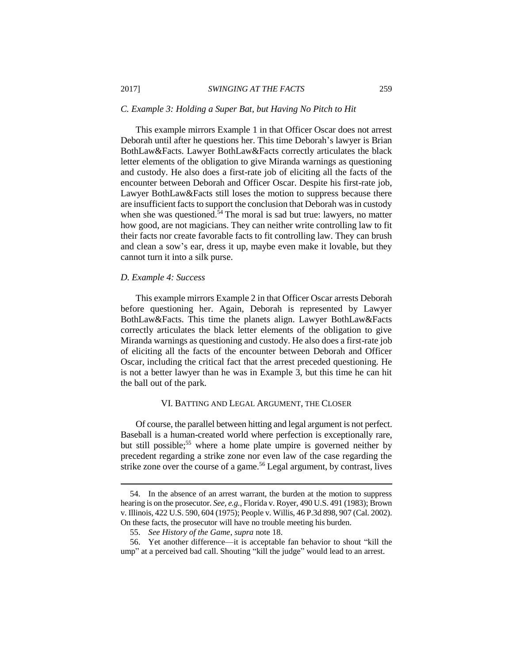#### *C. Example 3: Holding a Super Bat, but Having No Pitch to Hit*

This example mirrors Example 1 in that Officer Oscar does not arrest Deborah until after he questions her. This time Deborah's lawyer is Brian BothLaw&Facts. Lawyer BothLaw&Facts correctly articulates the black letter elements of the obligation to give Miranda warnings as questioning and custody. He also does a first-rate job of eliciting all the facts of the encounter between Deborah and Officer Oscar. Despite his first-rate job, Lawyer BothLaw&Facts still loses the motion to suppress because there are insufficient facts to support the conclusion that Deborah was in custody when she was questioned.<sup>54</sup> The moral is sad but true: lawyers, no matter how good, are not magicians. They can neither write controlling law to fit their facts nor create favorable facts to fit controlling law. They can brush and clean a sow's ear, dress it up, maybe even make it lovable, but they cannot turn it into a silk purse.

### *D. Example 4: Success*

 $\overline{a}$ 

This example mirrors Example 2 in that Officer Oscar arrests Deborah before questioning her. Again, Deborah is represented by Lawyer BothLaw&Facts. This time the planets align. Lawyer BothLaw&Facts correctly articulates the black letter elements of the obligation to give Miranda warnings as questioning and custody. He also does a first-rate job of eliciting all the facts of the encounter between Deborah and Officer Oscar, including the critical fact that the arrest preceded questioning. He is not a better lawyer than he was in Example 3, but this time he can hit the ball out of the park.

### VI. BATTING AND LEGAL ARGUMENT, THE CLOSER

Of course, the parallel between hitting and legal argument is not perfect. Baseball is a human-created world where perfection is exceptionally rare, but still possible;<sup>55</sup> where a home plate umpire is governed neither by precedent regarding a strike zone nor even law of the case regarding the strike zone over the course of a game.<sup>56</sup> Legal argument, by contrast, lives

<sup>54.</sup> In the absence of an arrest warrant, the burden at the motion to suppress hearing is on the prosecutor. *See, e.g.*, Florida v. Royer, 490 U.S. 491 (1983); Brown v. Illinois, 422 U.S. 590, 604 (1975); People v. Willis, 46 P.3d 898, 907 (Cal. 2002). On these facts, the prosecutor will have no trouble meeting his burden.

<sup>55.</sup> *See History of the Game*, *supra* note 18.

<sup>56.</sup> Yet another difference—it is acceptable fan behavior to shout "kill the ump" at a perceived bad call. Shouting "kill the judge" would lead to an arrest.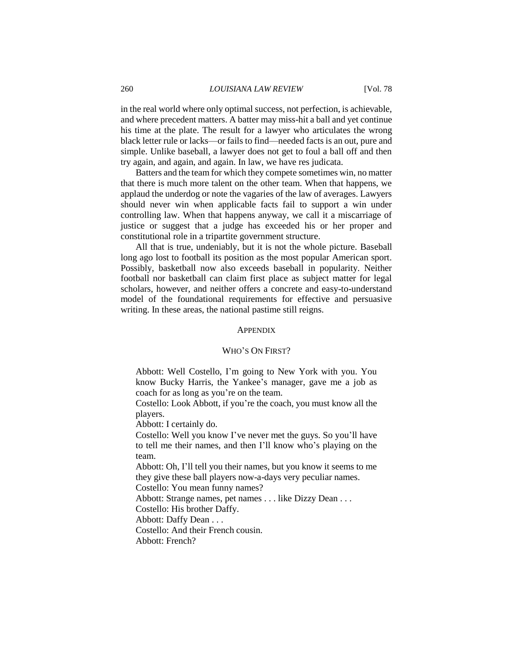in the real world where only optimal success, not perfection, is achievable, and where precedent matters. A batter may miss-hit a ball and yet continue his time at the plate. The result for a lawyer who articulates the wrong black letter rule or lacks—or fails to find—needed facts is an out, pure and simple. Unlike baseball, a lawyer does not get to foul a ball off and then try again, and again, and again. In law, we have res judicata.

Batters and the team for which they compete sometimes win, no matter that there is much more talent on the other team. When that happens, we applaud the underdog or note the vagaries of the law of averages. Lawyers should never win when applicable facts fail to support a win under controlling law. When that happens anyway, we call it a miscarriage of justice or suggest that a judge has exceeded his or her proper and constitutional role in a tripartite government structure.

All that is true, undeniably, but it is not the whole picture. Baseball long ago lost to football its position as the most popular American sport. Possibly, basketball now also exceeds baseball in popularity. Neither football nor basketball can claim first place as subject matter for legal scholars, however, and neither offers a concrete and easy-to-understand model of the foundational requirements for effective and persuasive writing. In these areas, the national pastime still reigns.

# **APPENDIX**

# WHO'S ON FIRST?

Abbott: Well Costello, I'm going to New York with you. You know [Bucky Harris,](http://www.baseball-almanac.com/players/player.php?p=harribu01) the Yankee's [manager,](http://www.baseball-almanac.com/humor4.shtml) gave me a job as coach for as long as you're on the team.

Costello: Look Abbott, if you're the coach, you must know all the players.

Abbott: I certainly do.

Costello: Well you know I've never met the guys. So you'll have to tell me their names, and then I'll know who's playing on the team.

Abbott: Oh, I'll tell you their names, but you know it seems to me they give these ball players now-a-days very peculiar names.

Costello: You mea[n funny names?](http://www.baseball-almanac.com/humor4.shtml)

Abbott: Strange names, [pet names .](http://www.baseball-almanac.com/humor4.shtml) . . like [Dizzy Dean](http://www.baseball-almanac.com/players/player.php?p=deandi01) . . .

Costello: His brother Daffy.

Abbott: [Daffy Dean](http://www.baseball-almanac.com/players/player.php?p=deanpa01) . . .

Costello: And their French cousin.

Abbott: French?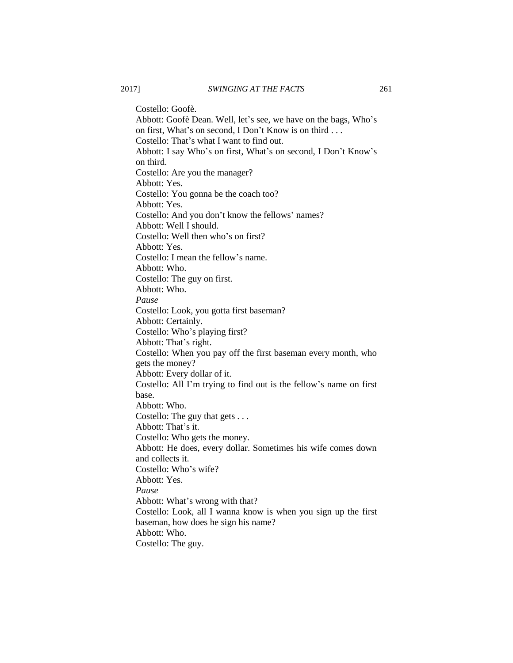2017] *SWINGING AT THE FACTS* 261

Costello: Goofè. Abbott: Goofè Dean. Well, let's see, we have on the bags, Who's on first, What's on second, I Don't Know is on third . . . Costello: That's what I want to find out. Abbott: I say Who's on first, What's on second, I Don't Know's on third. Costello: Are you the manager? Abbott: Yes. Costello: You gonna be the coach too? Abbott: Yes. Costello: And you don't know the fellows' names? Abbott: Well I should. Costello: Well then who's on first? Abbott: Yes. Costello: I mean the fellow's name. Abbott: Who. Costello: The guy on first. Abbott: Who. *Pause* Costello: Look, you gotta first baseman? Abbott: Certainly. Costello: Who's playing first? Abbott: That's right. Costello: When you pay off the first baseman every month, who gets the money? Abbott: Every dollar of it. Costello: All I'm trying to find out is the fellow's name on first base. Abbott: Who. Costello: The guy that gets . . . Abbott: That's it. Costello: Who gets the money. Abbott: He does, every dollar. Sometimes his wife comes down and collects it. Costello: Who's wife? Abbott: Yes. *Pause* Abbott: What's wrong with that? Costello: Look, all I wanna know is when you sign up the first baseman, how does he sign his name? Abbott: Who. Costello: The guy.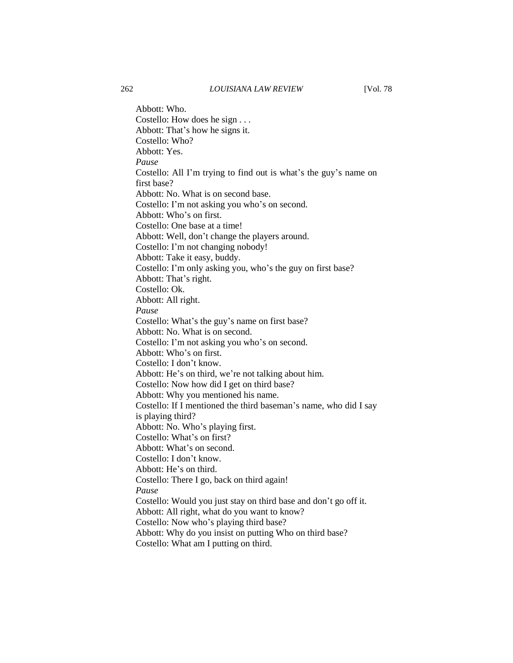262 *LOUISIANA LAW REVIEW* [Vol. 78

Abbott: Who. Costello: How does he sign . . . Abbott: That's how he signs it. Costello: Who? Abbott: Yes. *Pause* Costello: All I'm trying to find out is what's the guy's name on first base? Abbott: No. What is on second base. Costello: I'm not asking you who's on second. Abbott: Who's on first. Costello: One base at a time! Abbott: Well, don't change the players around. Costello: I'm not changing nobody! Abbott: Take it easy, buddy. Costello: I'm only asking you, who's the guy on first base? Abbott: That's right. Costello: Ok. Abbott: All right. *Pause* Costello: What's the guy's name on first base? Abbott: No. What is on second. Costello: I'm not asking you who's on second. Abbott: Who's on first. Costello: I don't know. Abbott: He's on third, we're not talking about him. Costello: Now how did I get on third base? Abbott: Why you mentioned his name. Costello: If I mentioned the third baseman's name, who did I say is playing third? Abbott: No. Who's playing first. Costello: What's on first? Abbott: What's on second. Costello: I don't know. Abbott: He's on third. Costello: There I go, back on third again! *Pause* Costello: Would you just stay on third base and don't go off it. Abbott: All right, what do you want to know? Costello: Now who's playing third base? Abbott: Why do you insist on putting Who on third base? Costello: What am I putting on third.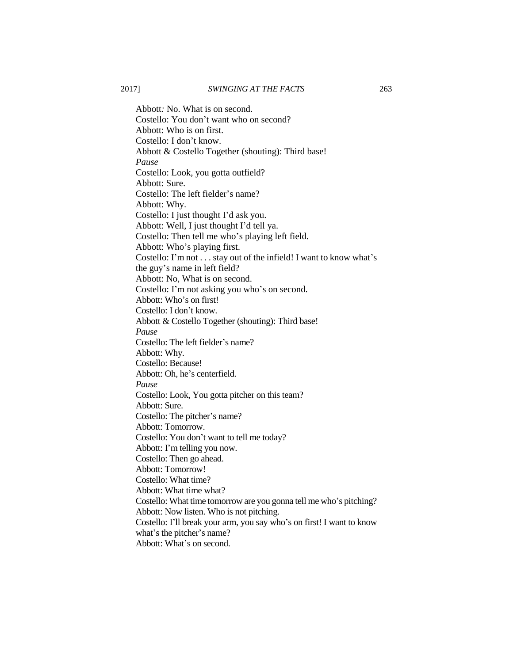2017] *SWINGING AT THE FACTS* 263

Abbott*:* No. What is on second. Costello: You don't want who on second? Abbott: Who is on first. Costello: I don't know. Abbott & Costello Together (shouting): Third base! *Pause* Costello: Look, you gotta outfield? Abbott: Sure. Costello: The left fielder's name? Abbott: Why. Costello: I just thought I'd ask you. Abbott: Well, I just thought I'd tell ya. Costello: Then tell me who's playing left field. Abbott: Who's playing first. Costello: I'm not . . . stay out of the infield! I want to know what's the guy's name in left field? Abbott: No, What is on second. Costello: I'm not asking you who's on second. Abbott: Who's on first! Costello: I don't know. Abbott & Costello Together (shouting): Third base! *Pause* Costello: The left fielder's name? Abbott: Why. Costello: Because! Abbott: Oh, he's centerfield. *Pause* Costello: Look, You gotta pitcher on this team? Abbott: Sure. Costello: The pitcher's name? Abbott: Tomorrow. Costello: You don't want to tell me today? Abbott: I'm telling you now. Costello: Then go ahead. Abbott: Tomorrow! Costello: What time? Abbott: What time what? Costello: What time tomorrow are you gonna tell me who's pitching? Abbott: Now listen. Who is not pitching. Costello: I'll break your arm, you say who's on first! I want to know what's the pitcher's name? Abbott: What's on second.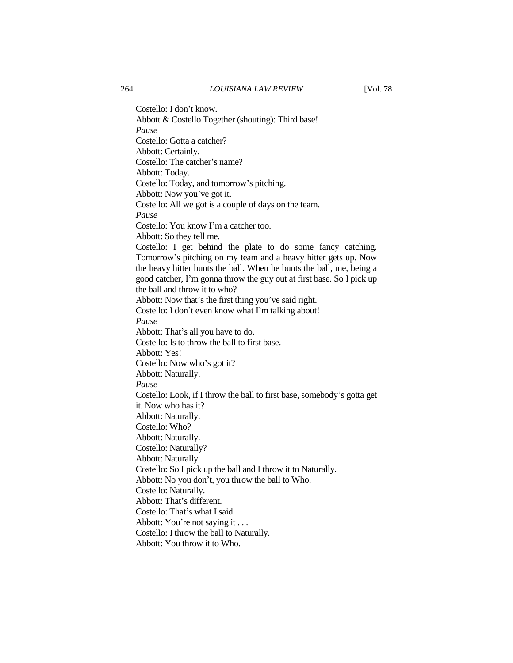Costello: I don't know. Abbott & Costello Together (shouting): Third base! *Pause* Costello: Gotta a catcher? Abbott: Certainly. Costello: The catcher's name? Abbott: Today. Costello: Today, and tomorrow's pitching. Abbott: Now you've got it. Costello: All we got is a couple of days on the team. *Pause* Costello: You know I'm a catcher too. Abbott: So they tell me. Costello: I get behind the plate to do some fancy catching. Tomorrow's pitching on my team and a heavy hitter gets up. Now the heavy hitter bunts the ball. When he bunts the ball, me, being a good catcher, I'm gonna throw the guy out at first base. So I pick up the ball and throw it to who? Abbott: Now that's the first thing you've said right. Costello: I don't even know what I'm talking about! *Pause* Abbott: That's all you have to do. Costello: Is to throw the ball to first base. Abbott: Yes! Costello: Now who's got it? Abbott: Naturally. *Pause* Costello: Look, if I throw the ball to first base, somebody's gotta get it. Now who has it? Abbott: Naturally. Costello: Who? Abbott: Naturally. Costello: Naturally? Abbott: Naturally. Costello: So I pick up the ball and I throw it to Naturally. Abbott: No you don't, you throw the ball to Who. Costello: Naturally. Abbott: That's different. Costello: That's what I said. Abbott: You're not saying it . . . Costello: I throw the ball to Naturally.

Abbott: You throw it to Who.